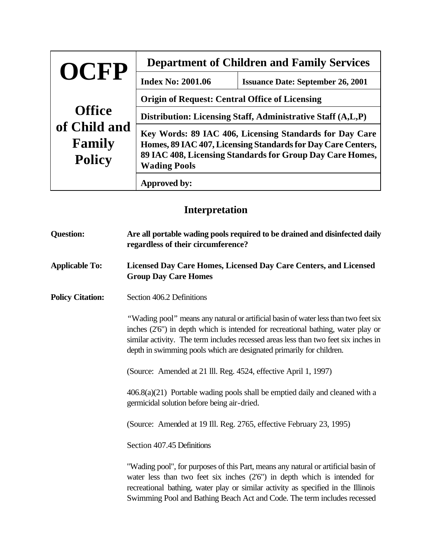| OCFP                                    | <b>Department of Children and Family Services</b>                                                                                                                                                           |                                          |  |
|-----------------------------------------|-------------------------------------------------------------------------------------------------------------------------------------------------------------------------------------------------------------|------------------------------------------|--|
|                                         | <b>Index No: 2001.06</b>                                                                                                                                                                                    | <b>Issuance Date: September 26, 2001</b> |  |
|                                         | <b>Origin of Request: Central Office of Licensing</b>                                                                                                                                                       |                                          |  |
| <b>Office</b>                           | Distribution: Licensing Staff, Administrative Staff (A,L,P)                                                                                                                                                 |                                          |  |
| of Child and<br>Family<br><b>Policy</b> | Key Words: 89 IAC 406, Licensing Standards for Day Care<br>Homes, 89 IAC 407, Licensing Standards for Day Care Centers,<br>89 IAC 408, Licensing Standards for Group Day Care Homes,<br><b>Wading Pools</b> |                                          |  |
|                                         | Approved by:                                                                                                                                                                                                |                                          |  |

## **Interpretation**

| <b>Question:</b>        | Are all portable wading pools required to be drained and disinfected daily<br>regardless of their circumference?<br>Licensed Day Care Homes, Licensed Day Care Centers, and Licensed<br><b>Group Day Care Homes</b>                                                                                                                    |  |  |
|-------------------------|----------------------------------------------------------------------------------------------------------------------------------------------------------------------------------------------------------------------------------------------------------------------------------------------------------------------------------------|--|--|
| <b>Applicable To:</b>   |                                                                                                                                                                                                                                                                                                                                        |  |  |
| <b>Policy Citation:</b> | Section 406.2 Definitions                                                                                                                                                                                                                                                                                                              |  |  |
|                         | "Wading pool" means any natural or artificial basin of water less than two feet six<br>inches (2'6") in depth which is intended for recreational bathing, water play or<br>similar activity. The term includes recessed areas less than two feet six inches in<br>depth in swimming pools which are designated primarily for children. |  |  |
|                         | (Source: Amended at 21 Ill. Reg. 4524, effective April 1, 1997)                                                                                                                                                                                                                                                                        |  |  |
|                         | $406.8(a)(21)$ Portable wading pools shall be emptied daily and cleaned with a<br>germicidal solution before being air-dried.                                                                                                                                                                                                          |  |  |
|                         | (Source: Amended at 19 Ill. Reg. 2765, effective February 23, 1995)                                                                                                                                                                                                                                                                    |  |  |
|                         | Section 407.45 Definitions                                                                                                                                                                                                                                                                                                             |  |  |
|                         | "Wading pool", for purposes of this Part, means any natural or artificial basin of<br>water less than two feet six inches $(2'6'')$ in depth which is intended for<br>recreational bathing, water play or similar activity as specified in the Illinois<br>Swimming Pool and Bathing Beach Act and Code. The term includes recessed    |  |  |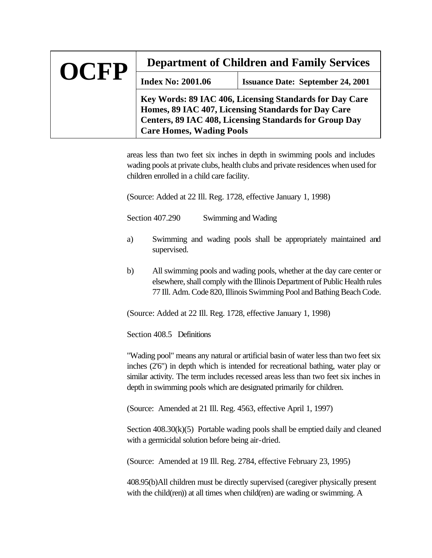| OCFP | <b>Department of Children and Family Services</b>                                                                                                                                                           |                                          |  |
|------|-------------------------------------------------------------------------------------------------------------------------------------------------------------------------------------------------------------|------------------------------------------|--|
|      | <b>Index No: 2001.06</b>                                                                                                                                                                                    | <b>Issuance Date: September 24, 2001</b> |  |
|      | Key Words: 89 IAC 406, Licensing Standards for Day Care<br>Homes, 89 IAC 407, Licensing Standards for Day Care<br>Centers, 89 IAC 408, Licensing Standards for Group Day<br><b>Care Homes, Wading Pools</b> |                                          |  |

areas less than two feet six inches in depth in swimming pools and includes wading pools at private clubs, health clubs and private residences when used for children enrolled in a child care facility.

(Source: Added at 22 Ill. Reg. 1728, effective January 1, 1998)

Section 407.290 Swimming and Wading

- a) Swimming and wading pools shall be appropriately maintained and supervised.
- b) All swimming pools and wading pools, whether at the day care center or elsewhere, shall comply with the Illinois Department of Public Health rules 77 Ill. Adm. Code 820, Illinois Swimming Pool and Bathing Beach Code.

(Source: Added at 22 Ill. Reg. 1728, effective January 1, 1998)

Section 408.5 Definitions

"Wading pool" means any natural or artificial basin of water less than two feet six inches (2'6") in depth which is intended for recreational bathing, water play or similar activity. The term includes recessed areas less than two feet six inches in depth in swimming pools which are designated primarily for children.

(Source: Amended at 21 Ill. Reg. 4563, effective April 1, 1997)

Section 408.30(k)(5) Portable wading pools shall be emptied daily and cleaned with a germicidal solution before being air-dried.

(Source: Amended at 19 Ill. Reg. 2784, effective February 23, 1995)

408.95(b)All children must be directly supervised (caregiver physically present with the child(ren)) at all times when child(ren) are wading or swimming. A